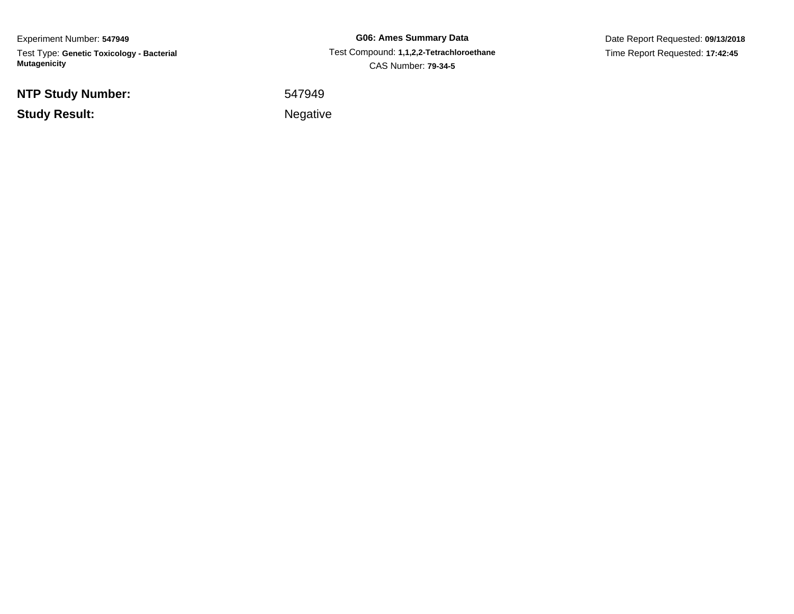Experiment Number: **547949** Test Type: **Genetic Toxicology - Bacterial Mutagenicity**

**NTP Study Number:**

**Study Result:**

**G06: Ames Summary Data** Test Compound: **1,1,2,2-Tetrachloroethane**CAS Number: **79-34-5**

Date Report Requested: **09/13/2018**Time Report Requested: **17:42:45**

<sup>547949</sup>

Negative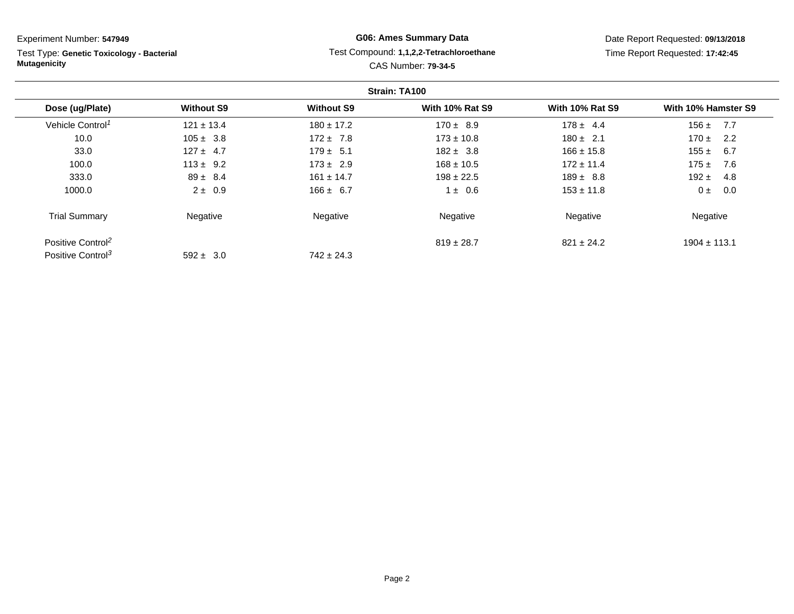Test Type: **Genetic Toxicology - Bacterial Mutagenicity**

# **G06: Ames Summary Data** Test Compound: **1,1,2,2-Tetrachloroethane**CAS Number: **79-34-5**

|                               |                   |                   | Strain: TA100          |                        |                     |
|-------------------------------|-------------------|-------------------|------------------------|------------------------|---------------------|
| Dose (ug/Plate)               | <b>Without S9</b> | <b>Without S9</b> | <b>With 10% Rat S9</b> | <b>With 10% Rat S9</b> | With 10% Hamster S9 |
| Vehicle Control <sup>1</sup>  | $121 \pm 13.4$    | $180 \pm 17.2$    | $170 \pm 8.9$          | $178 \pm 4.4$          | 7.7<br>$156 \pm$    |
| 10.0                          | $105 \pm 3.8$     | $172 \pm 7.8$     | $173 \pm 10.8$         | $180 \pm 2.1$          | $170 \pm$<br>2.2    |
| 33.0                          | $127 \pm 4.7$     | $179 \pm 5.1$     | $182 \pm 3.8$          | $166 \pm 15.8$         | 155 $\pm$<br>6.7    |
| 100.0                         | $113 \pm 9.2$     | $173 \pm 2.9$     | $168 \pm 10.5$         | $172 \pm 11.4$         | $175 +$<br>7.6      |
| 333.0                         | $89 \pm 8.4$      | $161 \pm 14.7$    | $198 \pm 22.5$         | $189 \pm 8.8$          | 192 $\pm$<br>4.8    |
| 1000.0                        | $2 \pm 0.9$       | $166 \pm 6.7$     | $1 \pm 0.6$            | $153 \pm 11.8$         | 0.0<br>$0 \pm$      |
| <b>Trial Summary</b>          | Negative          | Negative          | Negative               | Negative               | Negative            |
| Positive Control <sup>2</sup> |                   |                   | $819 \pm 28.7$         | $821 \pm 24.2$         | $1904 \pm 113.1$    |
| Positive Control <sup>3</sup> | $592 \pm 3.0$     | $742 \pm 24.3$    |                        |                        |                     |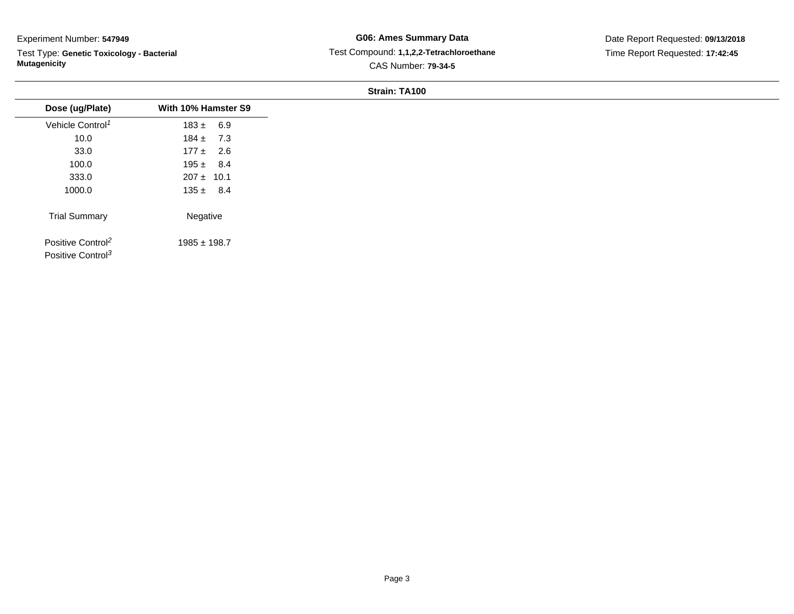Test Type: **Genetic Toxicology - Bacterial Mutagenicity**

# **G06: Ames Summary Data** Test Compound: **1,1,2,2-Tetrachloroethane**CAS Number: **79-34-5**

Date Report Requested: **09/13/2018**Time Report Requested: **17:42:45**

#### **Strain: TA100**

| 10.0<br>33.0<br>100.0<br>333.0<br>1000.0<br>Negative |                                                                |                     |
|------------------------------------------------------|----------------------------------------------------------------|---------------------|
|                                                      | Dose (ug/Plate)                                                | With 10% Hamster S9 |
|                                                      | Vehicle Control <sup>1</sup>                                   | $183 \pm 6.9$       |
|                                                      |                                                                | $184 \pm 7.3$       |
|                                                      |                                                                | $177 \pm 2.6$       |
|                                                      |                                                                | $195 \pm 8.4$       |
|                                                      |                                                                | $207 \pm 10.1$      |
|                                                      |                                                                | $135 \pm 8.4$       |
|                                                      | <b>Trial Summary</b>                                           |                     |
|                                                      | Positive Control <sup>2</sup><br>Positive Control <sup>3</sup> | $1985 \pm 198.7$    |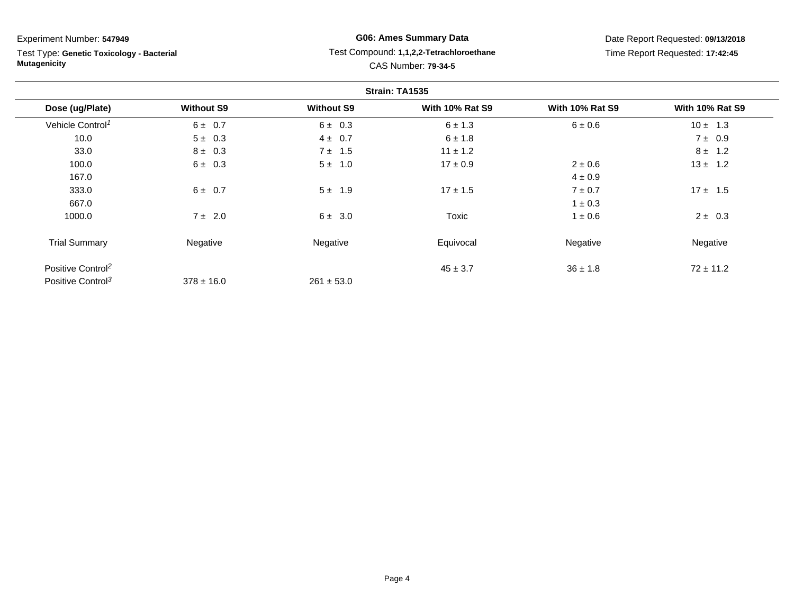Test Type: **Genetic Toxicology - Bacterial Mutagenicity**

# **G06: Ames Summary Data** Test Compound: **1,1,2,2-Tetrachloroethane**CAS Number: **79-34-5**

|                               |                   |                   | Strain: TA1535         |                        |                        |
|-------------------------------|-------------------|-------------------|------------------------|------------------------|------------------------|
| Dose (ug/Plate)               | <b>Without S9</b> | <b>Without S9</b> | <b>With 10% Rat S9</b> | <b>With 10% Rat S9</b> | <b>With 10% Rat S9</b> |
| Vehicle Control <sup>1</sup>  | $6 \pm 0.7$       | $6 \pm 0.3$       | $6 \pm 1.3$            | 6 ± 0.6                | $10 \pm 1.3$           |
| 10.0                          | $5 \pm 0.3$       | $4 \pm 0.7$       | $6 \pm 1.8$            |                        | $7 \pm 0.9$            |
| 33.0                          | $8 \pm 0.3$       | $7 \pm 1.5$       | $11 \pm 1.2$           |                        | $8 \pm 1.2$            |
| 100.0                         | $6 \pm 0.3$       | 1.0<br>5±         | $17 \pm 0.9$           | $2 \pm 0.6$            | $13 \pm 1.2$           |
| 167.0                         |                   |                   |                        | $4 \pm 0.9$            |                        |
| 333.0                         | $6 \pm 0.7$       | $5 \pm 1.9$       | $17 \pm 1.5$           | $7 \pm 0.7$            | $17 \pm 1.5$           |
| 667.0                         |                   |                   |                        | $1 \pm 0.3$            |                        |
| 1000.0                        | 7 ± 2.0           | $6 \pm 3.0$       | Toxic                  | $1 \pm 0.6$            | $2 \pm 0.3$            |
| <b>Trial Summary</b>          | Negative          | Negative          | Equivocal              | Negative               | Negative               |
| Positive Control <sup>2</sup> |                   |                   | $45 \pm 3.7$           | $36 \pm 1.8$           | $72 \pm 11.2$          |
| Positive Control <sup>3</sup> | $378 \pm 16.0$    | $261 \pm 53.0$    |                        |                        |                        |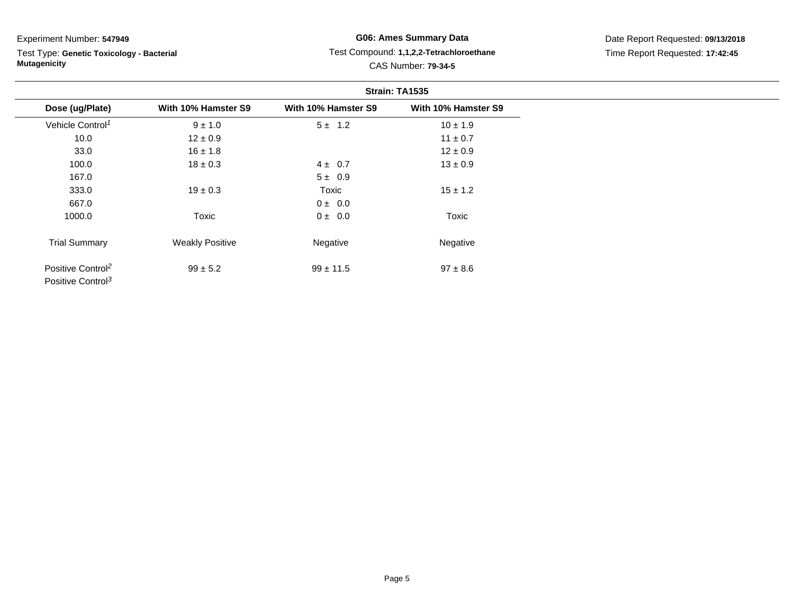Test Type: **Genetic Toxicology - Bacterial Mutagenicity**

# **G06: Ames Summary Data** Test Compound: **1,1,2,2-Tetrachloroethane**CAS Number: **79-34-5**

|                                                                |                        |                     | Strain: TA1535      |
|----------------------------------------------------------------|------------------------|---------------------|---------------------|
| Dose (ug/Plate)                                                | With 10% Hamster S9    | With 10% Hamster S9 | With 10% Hamster S9 |
| Vehicle Control <sup>1</sup>                                   | $9 \pm 1.0$            | $5 \pm 1.2$         | $10 \pm 1.9$        |
| 10.0                                                           | $12 \pm 0.9$           |                     | $11 \pm 0.7$        |
| 33.0                                                           | $16 \pm 1.8$           |                     | $12 \pm 0.9$        |
| 100.0                                                          | $18 \pm 0.3$           | $4 \pm 0.7$         | $13 \pm 0.9$        |
| 167.0                                                          |                        | $5 \pm 0.9$         |                     |
| 333.0                                                          | $19 \pm 0.3$           | Toxic               | $15 \pm 1.2$        |
| 667.0                                                          |                        | 0 ± 0.0             |                     |
| 1000.0                                                         | Toxic                  | $0 \pm 0.0$         | Toxic               |
| <b>Trial Summary</b>                                           | <b>Weakly Positive</b> | Negative            | Negative            |
| Positive Control <sup>2</sup><br>Positive Control <sup>3</sup> | $99 \pm 5.2$           | $99 \pm 11.5$       | $97 \pm 8.6$        |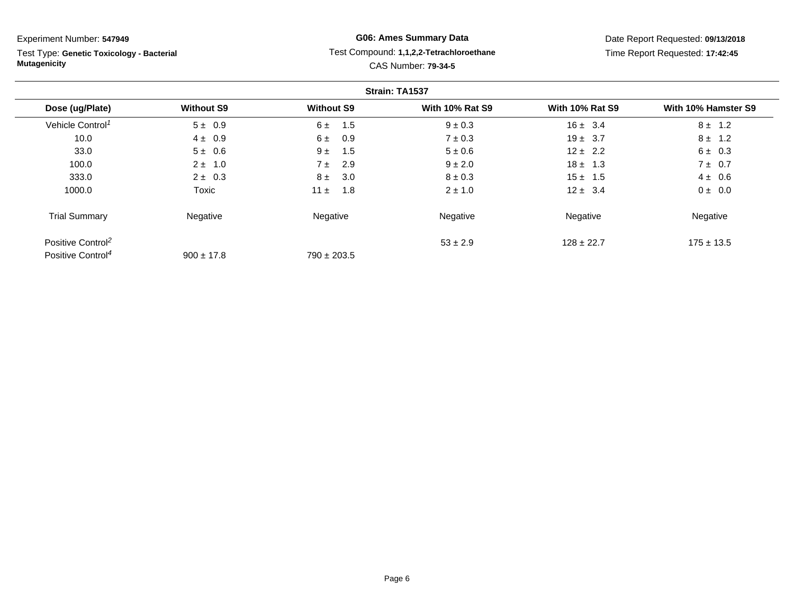Test Type: **Genetic Toxicology - Bacterial Mutagenicity**

# **G06: Ames Summary Data** Test Compound: **1,1,2,2-Tetrachloroethane**CAS Number: **79-34-5**

|                               |                   |                   | Strain: TA1537         |                        |                     |
|-------------------------------|-------------------|-------------------|------------------------|------------------------|---------------------|
| Dose (ug/Plate)               | <b>Without S9</b> | <b>Without S9</b> | <b>With 10% Rat S9</b> | <b>With 10% Rat S9</b> | With 10% Hamster S9 |
| Vehicle Control <sup>1</sup>  | $5 \pm 0.9$       | 1.5<br>6 ±        | $9 \pm 0.3$            | $16 \pm 3.4$           | $8 \pm 1.2$         |
| 10.0                          | $4 \pm 0.9$       | 6 ±<br>0.9        | $7 \pm 0.3$            | $19 \pm 3.7$           | $8 \pm 1.2$         |
| 33.0                          | $5 \pm 0.6$       | $9 +$<br>1.5      | $5 \pm 0.6$            | $12 \pm 2.2$           | $6 \pm 0.3$         |
| 100.0                         | $2 \pm 1.0$       | 2.9<br>7 ±        | $9 \pm 2.0$            | $18 \pm 1.3$           | $7 \pm 0.7$         |
| 333.0                         | $2 \pm 0.3$       | $8 \pm$<br>3.0    | $8 \pm 0.3$            | $15 \pm 1.5$           | $4 \pm 0.6$         |
| 1000.0                        | Toxic             | 11 $\pm$<br>1.8   | $2 \pm 1.0$            | $12 \pm 3.4$           | $0 \pm 0.0$         |
| <b>Trial Summary</b>          | Negative          | Negative          | Negative               | Negative               | Negative            |
| Positive Control <sup>2</sup> |                   |                   | $53 \pm 2.9$           | $128 \pm 22.7$         | $175 \pm 13.5$      |
| Positive Control <sup>4</sup> | $900 \pm 17.8$    | $790 \pm 203.5$   |                        |                        |                     |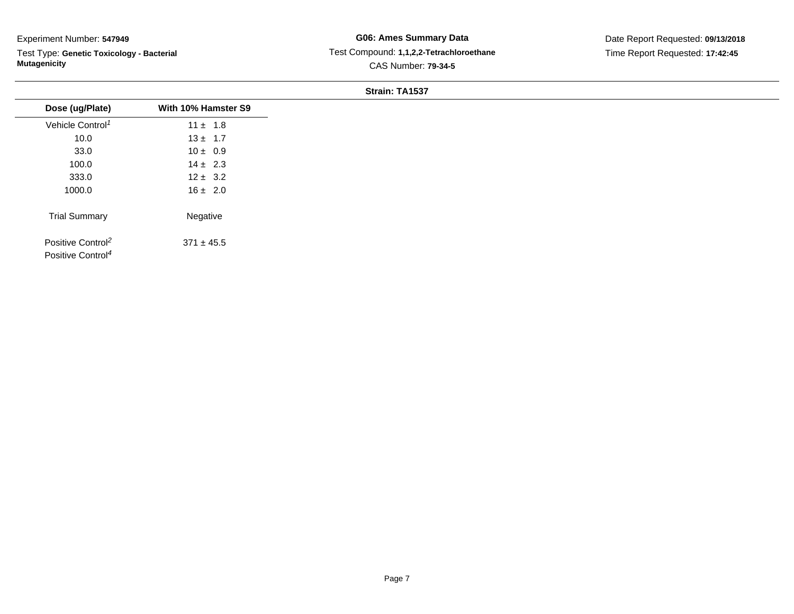Test Type: **Genetic Toxicology - Bacterial Mutagenicity**

# **G06: Ames Summary Data** Test Compound: **1,1,2,2-Tetrachloroethane**CAS Number: **79-34-5**

Date Report Requested: **09/13/2018**Time Report Requested: **17:42:45**

#### **Strain: TA1537**

| Dose (ug/Plate)               | With 10% Hamster S9 |
|-------------------------------|---------------------|
| Vehicle Control <sup>1</sup>  | $11 \pm 1.8$        |
| 10.0                          | $13 \pm 1.7$        |
| 33.0                          | $10 \pm 0.9$        |
| 100.0                         | $14 \pm 2.3$        |
| 333.0                         | $12 \pm 3.2$        |
| 1000.0                        | $16 \pm 2.0$        |
| <b>Trial Summary</b>          | Negative            |
| Positive Control <sup>2</sup> | $371 \pm 45.5$      |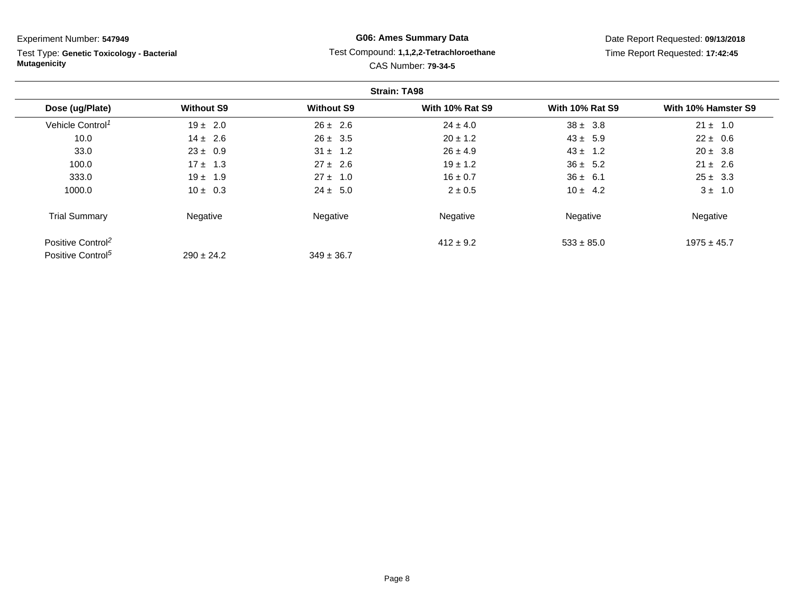Test Type: **Genetic Toxicology - Bacterial Mutagenicity**

# **G06: Ames Summary Data** Test Compound: **1,1,2,2-Tetrachloroethane**CAS Number: **79-34-5**

|                               |                   |                   | <b>Strain: TA98</b>    |                        |                     |
|-------------------------------|-------------------|-------------------|------------------------|------------------------|---------------------|
| Dose (ug/Plate)               | <b>Without S9</b> | <b>Without S9</b> | <b>With 10% Rat S9</b> | <b>With 10% Rat S9</b> | With 10% Hamster S9 |
| Vehicle Control <sup>1</sup>  | $19 \pm 2.0$      | $26 \pm 2.6$      | $24 \pm 4.0$           | $38 \pm 3.8$           | $21 \pm 1.0$        |
| 10.0                          | $14 \pm 2.6$      | $26 \pm 3.5$      | $20 \pm 1.2$           | $43 \pm 5.9$           | $22 \pm 0.6$        |
| 33.0                          | $23 \pm 0.9$      | $31 \pm 1.2$      | $26 \pm 4.9$           | $43 \pm 1.2$           | $20 \pm 3.8$        |
| 100.0                         | $17 \pm 1.3$      | $27 \pm 2.6$      | $19 \pm 1.2$           | $36 \pm 5.2$           | $21 \pm 2.6$        |
| 333.0                         | $19 \pm 1.9$      | $27 \pm 1.0$      | $16 \pm 0.7$           | $36 \pm 6.1$           | $25 \pm 3.3$        |
| 1000.0                        | $10 \pm 0.3$      | $24 \pm 5.0$      | $2 \pm 0.5$            | $10 \pm 4.2$           | $3 \pm 1.0$         |
| <b>Trial Summary</b>          | Negative          | Negative          | Negative               | Negative               | Negative            |
| Positive Control <sup>2</sup> |                   |                   | $412 \pm 9.2$          | $533 \pm 85.0$         | $1975 \pm 45.7$     |
| Positive Control <sup>5</sup> | $290 \pm 24.2$    | $349 \pm 36.7$    |                        |                        |                     |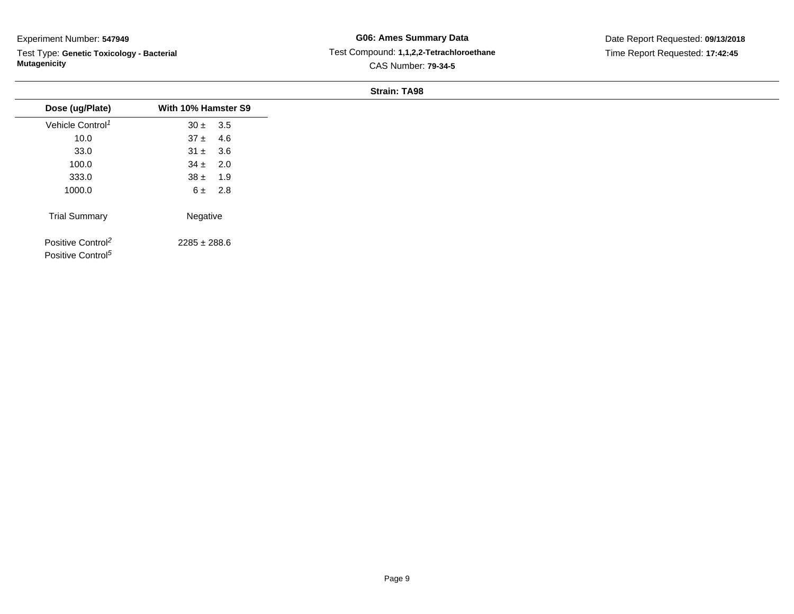Test Type: **Genetic Toxicology - Bacterial Mutagenicity**

# **G06: Ames Summary Data** Test Compound: **1,1,2,2-Tetrachloroethane**CAS Number: **79-34-5**

#### **Strain: TA98**

| Dose (ug/Plate)<br>Vehicle Control <sup>1</sup><br>10.0<br>33.0<br>100.0<br>333.0<br>1000.0<br><b>Trial Summary</b> |                     |
|---------------------------------------------------------------------------------------------------------------------|---------------------|
|                                                                                                                     | With 10% Hamster S9 |
|                                                                                                                     | $30 \pm 3.5$        |
|                                                                                                                     | $37 \pm 4.6$        |
|                                                                                                                     | $31 \pm 3.6$        |
|                                                                                                                     | $34 \pm 2.0$        |
|                                                                                                                     | $38 \pm 1.9$        |
|                                                                                                                     | $6 \pm 2.8$         |
|                                                                                                                     | Negative            |
| Positive Control <sup>2</sup><br>Positive Control <sup>5</sup>                                                      | $2285 \pm 288.6$    |